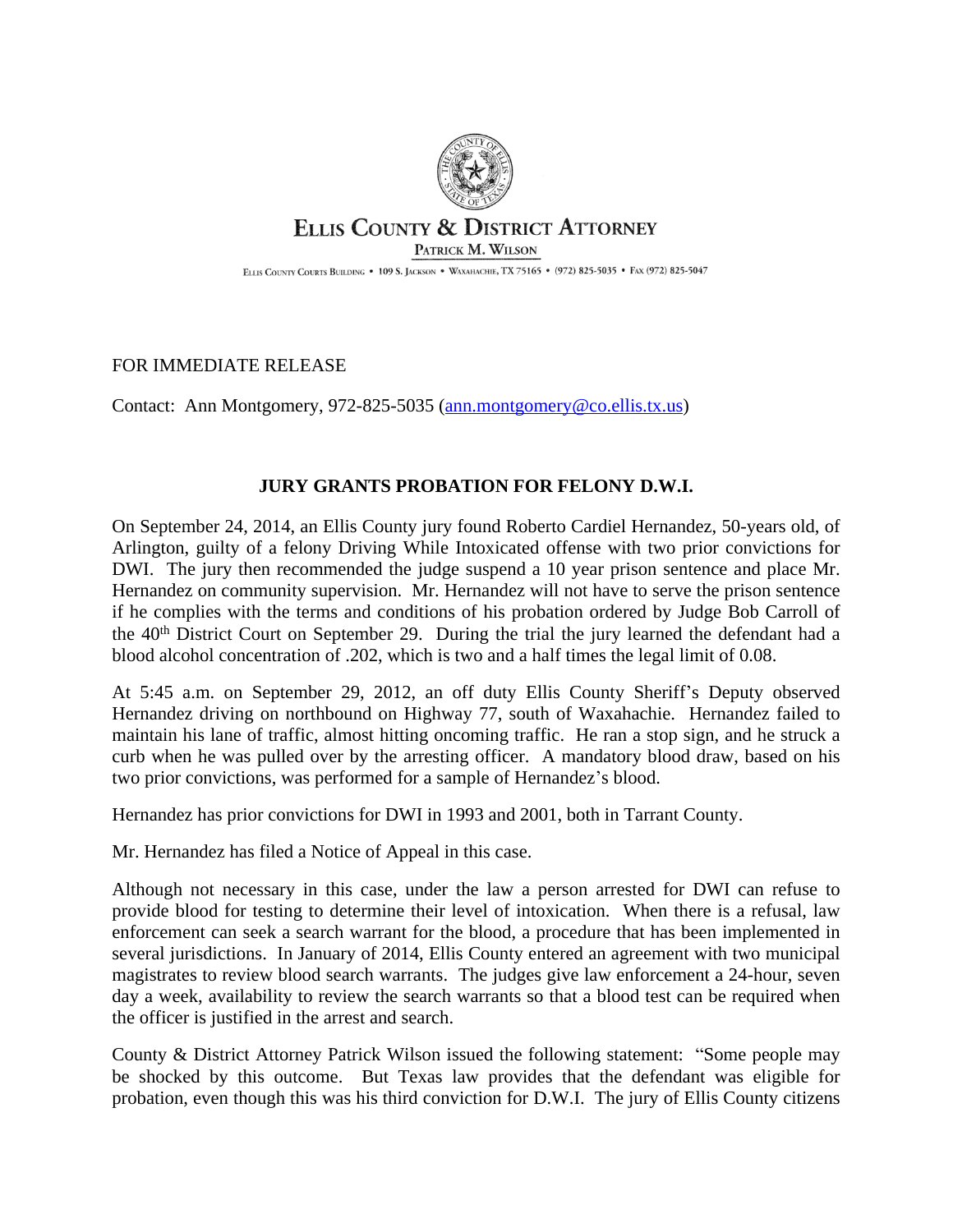

## ELLIS COUNTY & DISTRICT ATTORNEY PATRICK M. WILSON

ELLIS COUNTY COURTS BUILDING . 109 S. JACKSON . WAXAHACHIE, TX 75165 . (972) 825-5035 . FAX (972) 825-5047

FOR IMMEDIATE RELEASE

Contact: Ann Montgomery, 972-825-5035 ([ann.montgomery@co.ellis.tx.us](mailto:ann.montgomery@co.ellis.tx.us))

## **JURY GRANTS PROBATION FOR FELONY D.W.I.**

On September 24, 2014, an Ellis County jury found Roberto Cardiel Hernandez, 50-years old, of Arlington, guilty of a felony Driving While Intoxicated offense with two prior convictions for DWI. The jury then recommended the judge suspend a 10 year prison sentence and place Mr. Hernandez on community supervision. Mr. Hernandez will not have to serve the prison sentence if he complies with the terms and conditions of his probation ordered by Judge Bob Carroll of the 40<sup>th</sup> District Court on September 29. During the trial the jury learned the defendant had a blood alcohol concentration of .202, which is two and a half times the legal limit of 0.08.

At 5:45 a.m. on September 29, 2012, an off duty Ellis County Sheriff's Deputy observed Hernandez driving on northbound on Highway 77, south of Waxahachie. Hernandez failed to maintain his lane of traffic, almost hitting oncoming traffic. He ran a stop sign, and he struck a curb when he was pulled over by the arresting officer. A mandatory blood draw, based on his two prior convictions, was performed for a sample of Hernandez's blood.

Hernandez has prior convictions for DWI in 1993 and 2001, both in Tarrant County.

Mr. Hernandez has filed a Notice of Appeal in this case.

Although not necessary in this case, under the law a person arrested for DWI can refuse to provide blood for testing to determine their level of intoxication. When there is a refusal, law enforcement can seek a search warrant for the blood, a procedure that has been implemented in several jurisdictions. In January of 2014, Ellis County entered an agreement with two municipal magistrates to review blood search warrants. The judges give law enforcement a 24-hour, seven day a week, availability to review the search warrants so that a blood test can be required when the officer is justified in the arrest and search.

County & District Attorney Patrick Wilson issued the following statement: "Some people may be shocked by this outcome. But Texas law provides that the defendant was eligible for probation, even though this was his third conviction for D.W.I. The jury of Ellis County citizens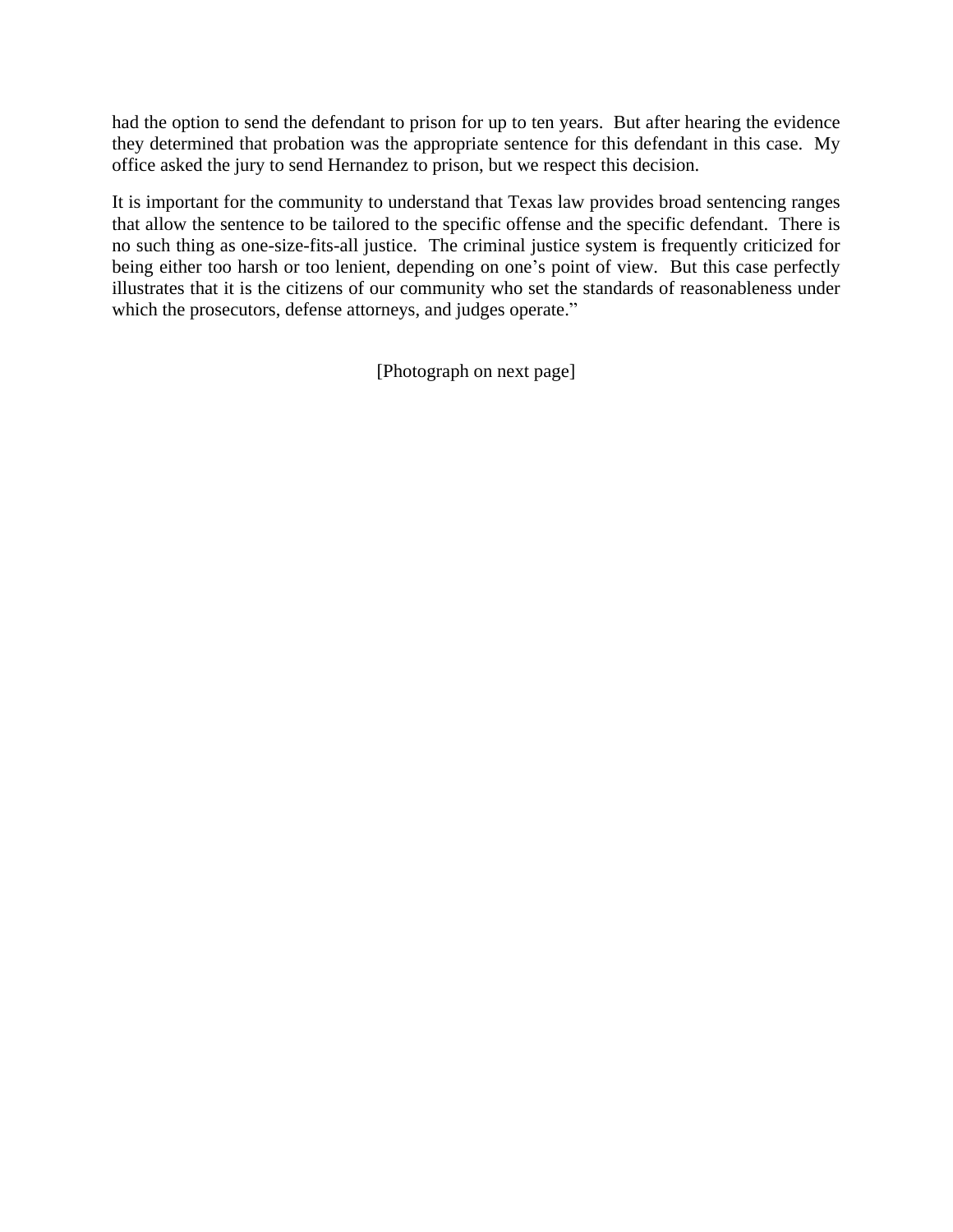had the option to send the defendant to prison for up to ten years. But after hearing the evidence they determined that probation was the appropriate sentence for this defendant in this case. My office asked the jury to send Hernandez to prison, but we respect this decision.

It is important for the community to understand that Texas law provides broad sentencing ranges that allow the sentence to be tailored to the specific offense and the specific defendant. There is no such thing as one-size-fits-all justice. The criminal justice system is frequently criticized for being either too harsh or too lenient, depending on one's point of view. But this case perfectly illustrates that it is the citizens of our community who set the standards of reasonableness under which the prosecutors, defense attorneys, and judges operate."

[Photograph on next page]